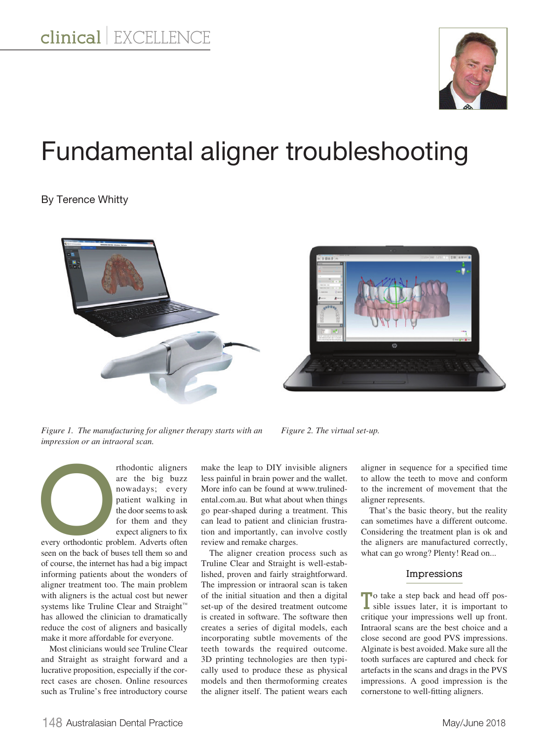

# Fundamental aligner troubleshooting

## By Terence Whitty





*Figure 1. The manufacturing for aligner therapy starts with an impression or an intraoral scan.*

*Figure 2. The virtual set-up.*

Thodontic aligners<br>
are the big buzz<br>
nowadays; every<br>
patient walking in<br>
the door seems to ask<br>
for them and they<br>
expect aligners to fix<br>
every orthodontic problem. Adverts often<br>
seem on the back of buser are the big buzz nowadays; every patient walking in the door seems to ask for them and they expect aligners to fix

every orthodontic problem. Adverts often seen on the back of buses tell them so and of course, the internet has had a big impact informing patients about the wonders of aligner treatment too. The main problem with aligners is the actual cost but newer systems like Truline Clear and Straight™ has allowed the clinician to dramatically reduce the cost of aligners and basically make it more affordable for everyone.

Most clinicians would see Truline Clear and Straight as straight forward and a lucrative proposition, especially if the correct cases are chosen. Online resources such as Truline's free introductory course

make the leap to DIY invisible aligners less painful in brain power and the wallet. More info can be found at www.trulinedental.com.au. But what about when things go pear-shaped during a treatment. This can lead to patient and clinician frustration and importantly, can involve costly review and remake charges.

The aligner creation process such as Truline Clear and Straight is well-established, proven and fairly straightforward. The impression or intraoral scan is taken of the initial situation and then a digital set-up of the desired treatment outcome is created in software. The software then creates a series of digital models, each incorporating subtle movements of the teeth towards the required outcome. 3D printing technologies are then typically used to produce these as physical models and then thermoforming creates the aligner itself. The patient wears each

aligner in sequence for a specified time to allow the teeth to move and conform to the increment of movement that the aligner represents.

That's the basic theory, but the reality can sometimes have a different outcome. Considering the treatment plan is ok and the aligners are manufactured correctly, what can go wrong? Plenty! Read on...

#### **Impressions**

**T**o take a step back and head off pos-sible issues later, it is important to critique your impressions well up front. Intraoral scans are the best choice and a close second are good PVS impressions. Alginate is best avoided. Make sure all the tooth surfaces are captured and check for artefacts in the scans and drags in the PVS impressions. A good impression is the cornerstone to well-fitting aligners.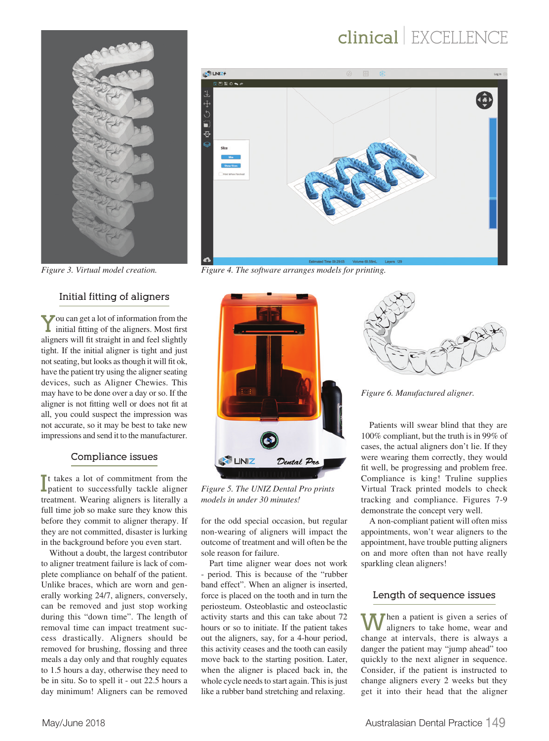## **clinical** | EXCELLENCE

 $\mathbf{\Omega}$ 



 $\frac{1}{2}$  UNIZ+ **DEON** 

☆■ウ中

*Figure 3. Virtual model creation. Figure 4. The software arranges models for printing.*

## **Initial fitting of aligners**

**Y**ou can get a lot of information from the initial fitting of the aligners. Most first aligners will fit straight in and feel slightly tight. If the initial aligner is tight and just not seating, but looks as though it will fit ok, have the patient try using the aligner seating devices, such as Aligner Chewies. This may have to be done over a day or so. If the aligner is not fitting well or does not fit at all, you could suspect the impression was not accurate, so it may be best to take new impressions and send it to the manufacturer.

### **Compliance issues**

I<sup>t</sup> takes a lot of commitment from the patient to successfully tackle aligner t takes a lot of commitment from the treatment. Wearing aligners is literally a full time job so make sure they know this before they commit to aligner therapy. If they are not committed, disaster is lurking in the background before you even start.

Without a doubt, the largest contributor to aligner treatment failure is lack of complete compliance on behalf of the patient. Unlike braces, which are worn and generally working 24/7, aligners, conversely, can be removed and just stop working during this "down time". The length of removal time can impact treatment success drastically. Aligners should be removed for brushing, flossing and three meals a day only and that roughly equates to 1.5 hours a day, otherwise they need to be in situ. So to spell it - out 22.5 hours a day minimum! Aligners can be removed



*Figure 5. The UNIZ Dental Pro prints models in under 30 minutes!*

for the odd special occasion, but regular non-wearing of aligners will impact the outcome of treatment and will often be the sole reason for failure.

Part time aligner wear does not work - period. This is because of the "rubber band effect". When an aligner is inserted, force is placed on the tooth and in turn the periosteum. Osteoblastic and osteoclastic activity starts and this can take about 72 hours or so to initiate. If the patient takes out the aligners, say, for a 4-hour period, this activity ceases and the tooth can easily move back to the starting position. Later, when the aligner is placed back in, the whole cycle needs to start again. This is just like a rubber band stretching and relaxing.



*Figure 6. Manufactured aligner.*

Patients will swear blind that they are 100% compliant, but the truth is in 99% of cases, the actual aligners don't lie. If they were wearing them correctly, they would fit well, be progressing and problem free. Compliance is king! Truline supplies Virtual Track printed models to check tracking and compliance. Figures 7-9 demonstrate the concept very well.

A non-compliant patient will often miss appointments, won't wear aligners to the appointment, have trouble putting aligners on and more often than not have really sparkling clean aligners!

### **Length of sequence issues**

**Then a patient is given a series of** aligners to take home, wear and change at intervals, there is always a danger the patient may "jump ahead" too quickly to the next aligner in sequence. Consider, if the patient is instructed to change aligners every 2 weeks but they get it into their head that the aligner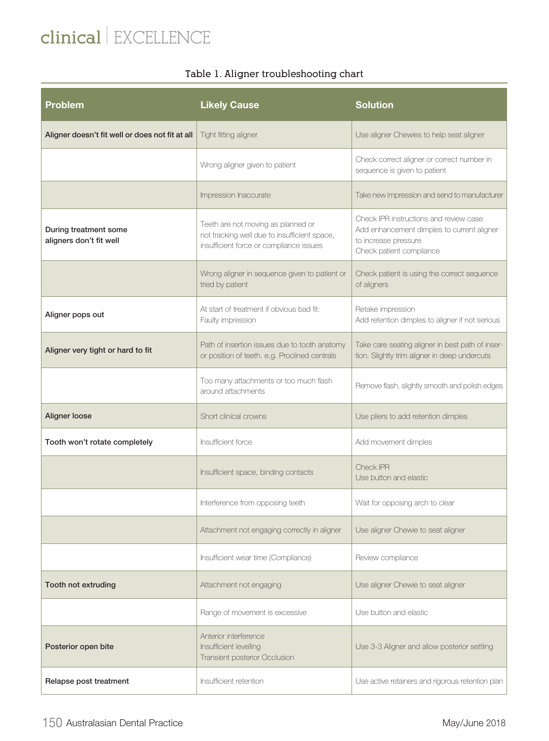# **clinical** | EXCELLENCE

## **Table 1. Aligner troubleshooting chart**

| <b>Problem</b>                                   | <b>Likely Cause</b>                                                                                                           | <b>Solution</b>                                                                                                                          |
|--------------------------------------------------|-------------------------------------------------------------------------------------------------------------------------------|------------------------------------------------------------------------------------------------------------------------------------------|
| Aligner doesn't fit well or does not fit at all  | Tight fitting aligner                                                                                                         | Use aligner Chewies to help seat aligner                                                                                                 |
|                                                  | Wrong aligner given to patient                                                                                                | Check correct aligner or correct number in<br>sequence is given to patient                                                               |
|                                                  | Impression Inaccurate                                                                                                         | Take new impression and send to manufacturer                                                                                             |
| During treatment some<br>aligners don't fit well | Teeth are not moving as planned or<br>not tracking well due to insufficient space,<br>insufficient force or compliance issues | Check IPR instructions and review case<br>Add enhancement dimples to current aligner<br>to increase pressure<br>Check patient compliance |
|                                                  | Wrong aligner in sequence given to patient or<br>tried by patient                                                             | Check patient is using the correct sequence<br>of aligners                                                                               |
| Aligner pops out                                 | At start of treatment if obvious bad fit:<br>Faulty impression                                                                | Retake impression<br>Add retention dimples to aligner if not serious                                                                     |
| Aligner very tight or hard to fit                | Path of insertion issues due to tooth anatomy<br>or position of teeth. e.g. Proclined centrals                                | Take care seating aligner in best path of inser-<br>tion. Slightly trim aligner in deep undercuts                                        |
|                                                  | Too many attachments or too much flash<br>around attachments                                                                  | Remove flash, slightly smooth and polish edges                                                                                           |
| Aligner loose                                    | Short clinical crowns                                                                                                         | Use pliers to add retention dimples                                                                                                      |
| Tooth won't rotate completely                    | Insufficient force                                                                                                            | Add movement dimples                                                                                                                     |
|                                                  | Insufficient space, binding contacts                                                                                          | Check IPR<br>Use button and elastic                                                                                                      |
|                                                  | Interference from opposing teeth                                                                                              | Wait for opposing arch to clear                                                                                                          |
|                                                  | Attachment not engaging correctly in aligner                                                                                  | Use aligner Chewie to seat aligner                                                                                                       |
|                                                  | Insufficient wear time (Compliance)                                                                                           | Review compliance                                                                                                                        |
| Tooth not extruding                              | Attachment not engaging                                                                                                       | Use aligner Chewie to seat aligner                                                                                                       |
|                                                  | Range of movement is excessive                                                                                                | Use button and elastic                                                                                                                   |
| Posterior open bite                              | Anterior interference<br>Insufficient levelling<br>Transient posterior Occlusion                                              | Use 3-3 Aligner and allow posterior settling                                                                                             |
| Relapse post treatment                           | Insufficient retention                                                                                                        | Use active retainers and rigorous retention plan                                                                                         |